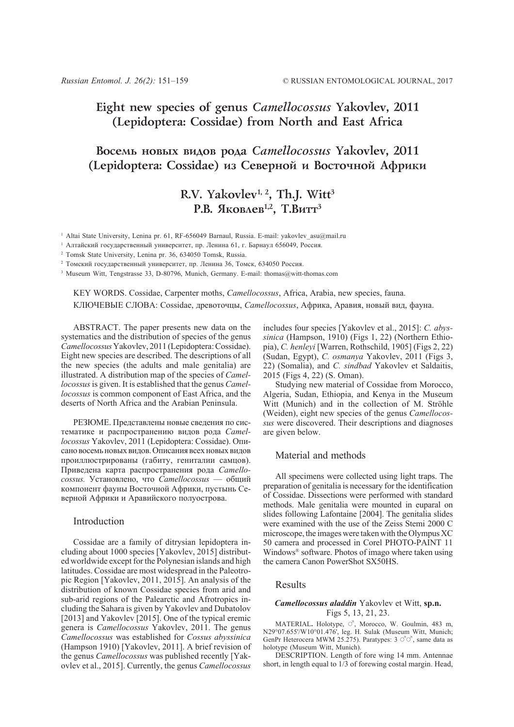# **Eight new species of genus** *Camellocossus* **Yakovlev, 2011 (Lepidoptera: Cossidae) from North and East Africa**

# **Âîñåìü íîâûõ âèäîâ ðîäà** *Camellocossus* **Yakovlev, 2011** (Lepidoptera: Cossidae) из Северной и Восточной Африки

# **R.V. Yakovlev1, 2, Th.J. Witt3** P.B. **SKOBAEB<sup>1,2</sup>, T.B**UTT<sup>3</sup>

<sup>1</sup> Altai State University, Lenina pr. 61, RF-656049 Barnaul, Russia. E-mail: yakovlev asu@mail.ru

<sup>1</sup> Алтайский государственный университет, пр. Ленина 61, г. Барнаул 656049, Россия.

<sup>2</sup> Tomsk State University, Lenina pr. 36, 634050 Tomsk, Russia.

<sup>2</sup> Томский государственный университет, пр. Ленина 36, Томск, 634050 Россия.

<sup>3</sup> Museum Witt, Tengstrasse 33, D-80796, Munich, Germany. E-mail: thomas@witt-thomas.com

KEY WORDS. Cossidae, Carpenter moths, *Camellocossus*, Africa, Arabia, new species, fauna. КЛЮЧЕВЫЕ СЛОВА: Cossidae, древоточцы, *Camellocossus*, Африка, Аравия, новый вид, фауна.

ABSTRACT. The paper presents new data on the systematics and the distribution of species of the genus *Camellocossus* Yakovlev, 2011 (Lepidoptera: Cossidae). Eight new species are described. The descriptions of all the new species (the adults and male genitalia) are illustrated. A distribution map of the species of *Camellocossus* is given. It is established that the genus *Camellocossus* is common component of East Africa, and the deserts of North Africa and the Arabian Peninsula.

РЕЗЮМЕ. Представлены новые сведения по систематике и распространению видов рода *Camellocossus* Yakovlev, 2011 (Lepidoptera: Cossidae). Описано восемь новых видов. Описания всех новых видов проиллюстрированы (габиту, гениталии самцов). Приведена карта распространения рода *Camellocossus.* Установлено, что *Camellocossus* — общий компонент фауны Восточной Африки, пустынь Северной Африки и Аравийского полуострова.

#### Introduction

Cossidae are a family of ditrysian lepidoptera including about 1000 species [Yakovlev, 2015] distributed worldwide except for the Polynesian islands and high latitudes. Cossidae are most widespread in the Paleotropic Region [Yakovlev, 2011, 2015]. An analysis of the distribution of known Cossidae species from arid and sub-arid regions of the Palearctic and Afrotropics including the Sahara is given by Yakovlev and Dubatolov [2013] and Yakovlev [2015]. One of the typical eremic genera is *Camellocossus* Yakovlev, 2011. The genus *Camellocossus* was established for *Cossus abyssinica* (Hampson 1910) [Yakovlev, 2011]. A brief revision of the genus *Camellocossus* was published recently [Yakovlev et al., 2015]. Currently, the genus *Camellocossus*

includes four species [Yakovlev et al., 2015]: *C. abyssinica* (Hampson, 1910) (Figs 1, 22) (Northern Ethiopia), *C. henleyi* [Warren, Rothschild, 1905] (Figs 2, 22) (Sudan, Egypt), *C. osmanya* Yakovlev, 2011 (Figs 3, 22) (Somalia), and *C. sindbad* Yakovlev et Saldaitis, 2015 (Figs 4, 22) (S. Oman).

Studying new material of Cossidae from Morocco, Algeria, Sudan, Ethiopia, and Kenya in the Museum Witt (Munich) and in the collection of M. Ströhle (Weiden), eight new species of the genus *Camellocossus* were discovered. Their descriptions and diagnoses are given below.

### Material and methods

All specimens were collected using light traps. The preparation of genitalia is necessary for the identification of Cossidae. Dissections were performed with standard methods. Male genitalia were mounted in euparal on slides following Lafontaine [2004]. The genitalia slides were examined with the use of the Zeiss Stemi 2000 C microscope, the images were taken with the Olympus XC 50 camera and processed in Corel PHOTO-PAINT 11 Windows® software. Photos of imago where taken using the camera Canon PowerShot SX50HS.

# Results

#### *Camellocossus aladdin* Yakovlev et Witt, **sp.n.** Figs 5, 13, 21, 23.

MATERIAL. Holotype,  $\circlearrowleft$ , Morocco, W. Goulmin, 483 m, N29°07.655'/W10°01.476', leg. H. Sulak (Museum Witt, Munich; GenPr Heterocera MWM 25.275). Paratypes:  $3 \circ \circ \circ$ , same data as holotype (Museum Witt, Munich).

DESCRIPTION. Length of fore wing 14 mm. Antennae short, in length equal to 1/3 of forewing costal margin. Head,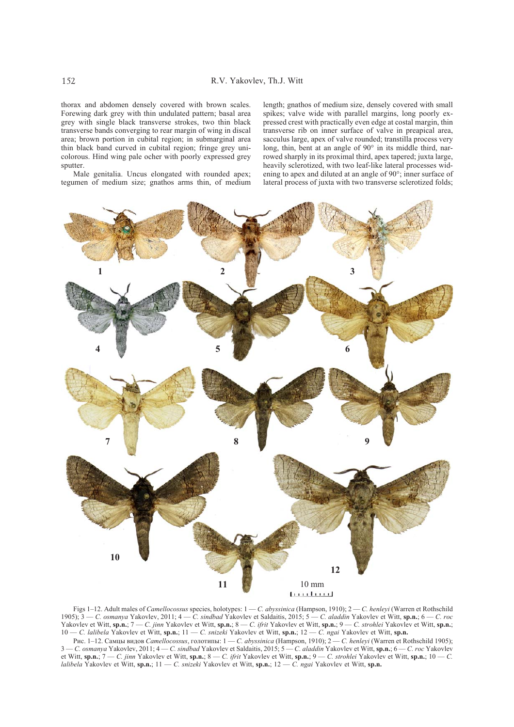thorax and abdomen densely covered with brown scales. Forewing dark grey with thin undulated pattern; basal area grey with single black transverse strokes, two thin black transverse bands converging to rear margin of wing in discal area; brown portion in cubital region; in submarginal area thin black band curved in cubital region; fringe grey unicolorous. Hind wing pale ocher with poorly expressed grey sputter.

Male genitalia. Uncus elongated with rounded apex; tegumen of medium size; gnathos arms thin, of medium length; gnathos of medium size, densely covered with small spikes; valve wide with parallel margins, long poorly expressed crest with practically even edge at costal margin, thin transverse rib on inner surface of valve in preapical area, sacculus large, apex of valve rounded; transtilla process very long, thin, bent at an angle of 90° in its middle third, narrowed sharply in its proximal third, apex tapered; juxta large, heavily sclerotized, with two leaf-like lateral processes widening to apex and diluted at an angle of 90°; inner surface of lateral process of juxta with two transverse sclerotized folds;



Figs 1–12. Adult males of *Camellocossus* species, holotypes: 1 — *C. abyssinica* (Hampson, 1910); 2 — *C. henleyi* (Warren et Rothschild 1905); 3 — *C. osmanya* Yakovlev, 2011; 4 — *C. sindbad* Yakovlev et Saldaitis, 2015; 5 — *C. aladdin* Yakovlev et Witt, **sp.n.**; 6 — *C. roc* Yakovlev et Witt, **sp.n.**; 7 — *C. jinn* Yakovlev et Witt, **sp.n.**; 8 — *C. ifrit* Yakovlev et Witt, **sp.n.**; 9 — *C. strohlei* Yakovlev et Witt, **sp.n.**; 10 — *C. lalibela* Yakovlev et Witt, **sp.n.**; 11 — *C. snizeki* Yakovlev et Witt, **sp.n.**; 12 — *C. ngai* Yakovlev et Witt, **sp.n.**

Рис. 1–12. Самцы видов *Camellocossus*, голотипы: 1 — *C. abyssinica* (Hampson, 1910); 2 — *C. henleyi* (Warren et Rothschild 1905); 3 — *C. osmanya* Yakovlev, 2011; 4 — *C. sindbad* Yakovlev et Saldaitis, 2015; 5 — *C. aladdin* Yakovlev et Witt, **sp.n.**; 6 — *C. roc* Yakovlev et Witt, **sp.n.**; 7 — *C. jinn* Yakovlev et Witt, **sp.n.**; 8 — *C. ifrit* Yakovlev et Witt, **sp.n.**; 9 — *C. strohlei* Yakovlev et Witt, **sp.n.**; 10 — *C. lalibela* Yakovlev et Witt, **sp.n.**; 11 — *C. snizeki* Yakovlev et Witt, **sp.n.**; 12 — *C. ngai* Yakovlev et Witt, **sp.n.**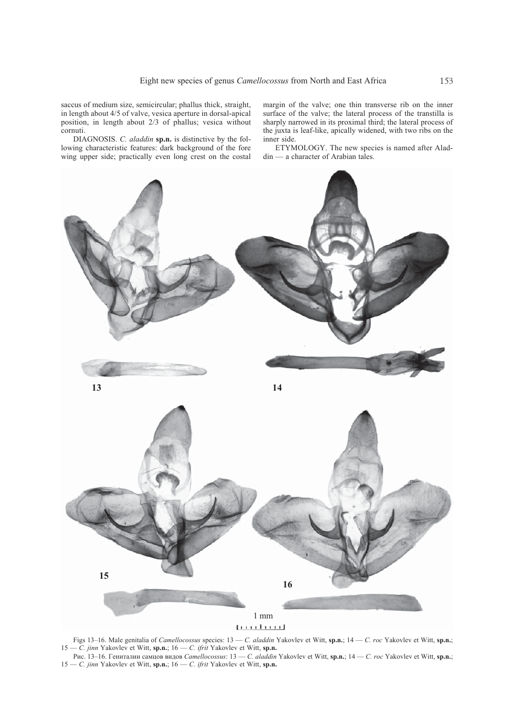saccus of medium size, semicircular; phallus thick, straight, in length about 4/5 of valve, vesica aperture in dorsal-apical position, in length about 2/3 of phallus; vesica without cornuti.

DIAGNOSIS. *C. aladdin* **sp.n.** is distinctive by the following characteristic features: dark background of the fore wing upper side; practically even long crest on the costal margin of the valve; one thin transverse rib on the inner surface of the valve; the lateral process of the transtilla is sharply narrowed in its proximal third; the lateral process of the juxta is leaf-like, apically widened, with two ribs on the inner side.

ETYMOLOGY. The new species is named after Aladdin — a character of Arabian tales.



Figs 13–16. Male genitalia of *Camellocossus* species: 13 — *C. aladdin* Yakovlev et Witt, **sp.n.**; 14 — *C. roc* Yakovlev et Witt, **sp.n.**; 15 — *C. jinn* Yakovlev et Witt, **sp.n.**; 16 — *C. ifrit* Yakovlev et Witt, **sp.n.**

Рис. 13–16. Гениталии самцов видов *Camellocossus*: 13 — *C. aladdin* Yakovlev et Witt, **sp.n.**; 14 — *C. roc* Yakovlev et Witt, **sp.n.**; 15 — *C. jinn* Yakovlev et Witt, **sp.n.**; 16 — *C. ifrit* Yakovlev et Witt, **sp.n.**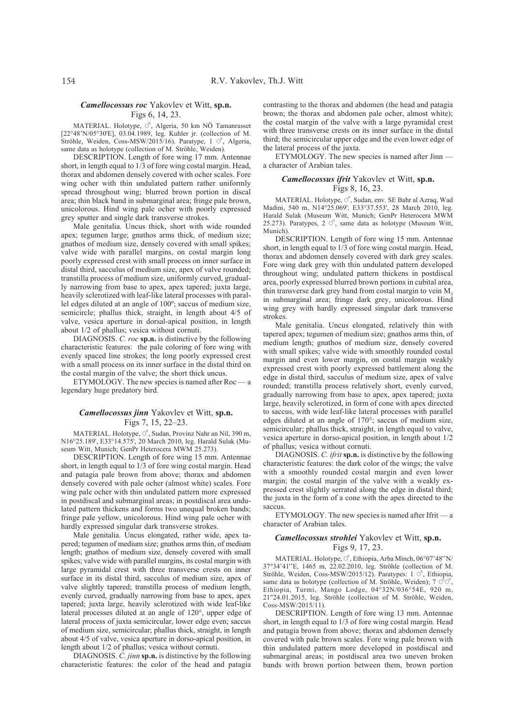#### *Camellocossus roc* Yakovlev et Witt, **sp.n.** Figs 6, 14, 23.

MATERIAL. Holotype,  $\circ$ , Algeria, 50 km NÖ Tamanrasset [22°48'N/05°30'E], 03.04.1989, leg. Kuhler jr. (collection of M. Ströhle, Weiden, Coss-MSW/2015/16). Paratype, 1  $\circ$ <sup>7</sup>, Algeria, same data as holotype (collection of M. Ströhle, Weiden).

DESCRIPTION. Length of fore wing 17 mm. Antennae short, in length equal to 1/3 of fore wing costal margin. Head, thorax and abdomen densely covered with ocher scales. Fore wing ocher with thin undulated pattern rather uniformly spread throughout wing; blurred brown portion in discal area; thin black band in submarginal area; fringe pale brown, unicolorous. Hind wing pale ocher with poorly expressed grey sputter and single dark transverse strokes.

Male genitalia. Uncus thick, short with wide rounded apex; tegumen large; gnathos arms thick, of medium size; gnathos of medium size, densely covered with small spikes; valve wide with parallel margins, on costal margin long poorly expressed crest with small process on inner surface in distal third, sacculus of medium size, apex of valve rounded; transtilla process of medium size, uniformly curved, gradually narrowing from base to apex, apex tapered; juxta large, heavily sclerotized with leaf-like lateral processes with parallel edges diluted at an angle of 100º; saccus of medium size, semicircle; phallus thick, straight, in length about 4/5 of valve, vesica aperture in dorsal-apical position, in length about 1/2 of phallus; vesica without cornuti.

DIAGNOSIS. *C. roc* **sp.n.** is distinctive by the following characteristic features: the pale coloring of fore wing with evenly spaced line strokes; the long poorly expressed crest with a small process on its inner surface in the distal third on the costal margin of the valve; the short thick uncus.

ETYMOLOGY. The new species is named after Roc — a legendary huge predatory bird.

### *Camellocossus jinn* Yakovlev et Witt, **sp.n.** Figs 7, 15, 22–23.

MATERIAL. Holotype,  $\circlearrowleft$ , Sudan, Provinz Nahr an Nil, 390 m, N16°25.189', E33°14.575', 20 March 2010, leg. Harald Sulak (Museum Witt, Munich; GenPr Heterocera MWM 25.273).

DESCRIPTION. Length of fore wing 15 mm. Antennae short, in length equal to 1/3 of fore wing costal margin. Head and patagia pale brown from above; thorax and abdomen densely covered with pale ocher (almost white) scales. Fore wing pale ocher with thin undulated pattern more expressed in postdiscal and submarginal areas; in postdiscal area undulated pattern thickens and forms two unequal broken bands; fringe pale yellow, unicolorous. Hind wing pale ocher with hardly expressed singular dark transverse strokes.

Male genitalia. Uncus elongated, rather wide, apex tapered; tegumen of medium size; gnathos arms thin, of medium length; gnathos of medium size, densely covered with small spikes; valve wide with parallel margins, its costal margin with large pyramidal crest with three transverse crests on inner surface in its distal third, sacculus of medium size, apex of valve slightly tapered; transtilla process of medium length, evenly curved, gradually narrowing from base to apex, apex tapered; juxta large, heavily sclerotized with wide leaf-like lateral processes diluted at an angle of 120°, upper edge of lateral process of juxta semicircular, lower edge even; saccus of medium size, semicircular; phallus thick, straight, in length about 4/5 of valve, vesica aperture in dorso-apical position, in length about 1/2 of phallus; vesica without cornuti.

DIAGNOSIS. *C. jinn* **sp.n.** is distinctive by the following characteristic features: the color of the head and patagia contrasting to the thorax and abdomen (the head and patagia brown; the thorax and abdomen pale ocher, almost white); the costal margin of the valve with a large pyramidal crest with three transverse crests on its inner surface in the distal third; the semicircular upper edge and the even lower edge of the lateral process of the juxta.

ETYMOLOGY. The new species is named after Jinn a character of Arabian tales.

#### *Camellocossus ifrit* Yakovlev et Witt, **sp.n.** Figs 8, 16, 23.

MATERIAL. Holotype,  $\vec{C}$ , Sudan, env. SE Bahr al Azraq, Wad Madini, 540 m, N14°25.069', E33°37.553', 28 March 2010, leg. Harald Sulak (Museum Witt, Munich; GenPr Heterocera MWM 25.273). Paratypes,  $2 \circ$ , same data as holotype (Museum Witt, Munich).

DESCRIPTION. Length of fore wing 15 mm. Antennae short, in length equal to 1/3 of fore wing costal margin. Head, thorax and abdomen densely covered with dark grey scales. Fore wing dark grey with thin undulated pattern developed throughout wing; undulated pattern thickens in postdiscal area, poorly expressed blurred brown portions in cubital area, thin transverse dark grey band from costal margin to vein M. in submarginal area; fringe dark grey, unicolorous. Hind wing grey with hardly expressed singular dark transverse strokes.

Male genitalia. Uncus elongated, relatively thin with tapered apex; tegumen of medium size; gnathos arms thin, of medium length; gnathos of medium size, densely covered with small spikes; valve wide with smoothly rounded costal margin and even lower margin, on costal margin weakly expressed crest with poorly expressed battlement along the edge in distal third, sacculus of medium size, apex of valve rounded; transtilla process relatively short, evenly curved, gradually narrowing from base to apex, apex tapered; juxta large, heavily sclerotized, in form of cone with apex directed to saccus, with wide leaf-like lateral processes with parallel edges diluted at an angle of 170°; saccus of medium size, semicircular; phallus thick, straight, in length equal to valve, vesica aperture in dorso-apical position, in length about 1/2 of phallus; vesica without cornuti.

DIAGNOSIS. *C. ifrit* **sp.n.** is distinctive by the following characteristic features: the dark color of the wings; the valve with a smoothly rounded costal margin and even lower margin; the costal margin of the valve with a weakly expressed crest slightly serrated along the edge in distal third; the juxta in the form of a cone with the apex directed to the saccus.

ETYMOLOGY. The new species is named after Ifrit — a character of Arabian tales.

### *Camellocossus strohlei* Yakovlev et Witt, **sp.n.** Figs 9, 17, 23.

MATERIAL. Holotype,  $\circlearrowleft$ , Ethiopia, Arba Minch, 06°07'48''N/ 37°34'41''E, 1465 m, 22.02.2010, leg. Ströhle (collection of M. Ströhle, Weiden, Coss-MSW/2015/12). Paratypes:  $1 \circ$ , Ethiopia, same data as holotype (collection of M. Ströhle, Weiden);  $7 \overrightarrow{\circ} \overrightarrow{\circ}$ Ethiopia, Turmi, Mango Lodge, 04°32N/036°54E, 920 m, 21"24.01.2015, leg. Ströhle (collection of M. Ströhle, Weiden, Coss-MSW/2015/11).

DESCRIPTION. Length of fore wing 13 mm. Antennae short, in length equal to 1/3 of fore wing costal margin. Head and patagia brown from above; thorax and abdomen densely covered with pale brown scales. Fore wing pale brown with thin undulated pattern more developed in postdiscal and submarginal areas; in postdiscal area two uneven broken bands with brown portion between them, brown portion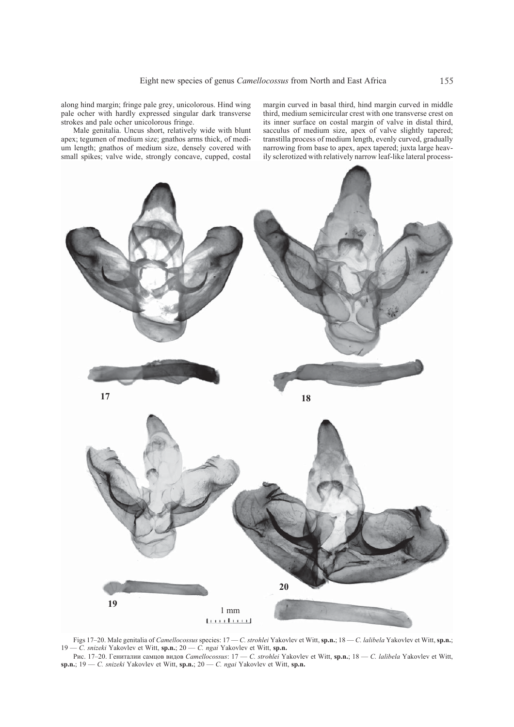along hind margin; fringe pale grey, unicolorous. Hind wing pale ocher with hardly expressed singular dark transverse strokes and pale ocher unicolorous fringe.

Male genitalia. Uncus short, relatively wide with blunt apex; tegumen of medium size; gnathos arms thick, of medium length; gnathos of medium size, densely covered with small spikes; valve wide, strongly concave, cupped, costal margin curved in basal third, hind margin curved in middle third, medium semicircular crest with one transverse crest on its inner surface on costal margin of valve in distal third, sacculus of medium size, apex of valve slightly tapered; transtilla process of medium length, evenly curved, gradually narrowing from base to apex, apex tapered; juxta large heavily sclerotized with relatively narrow leaf-like lateral process-



Figs 17–20. Male genitalia of *Camellocossus* species: 17 — *C. strohlei* Yakovlev et Witt, **sp.n.**; 18 — *C. lalibela* Yakovlev et Witt, **sp.n.**; 19 — *C. snizeki* Yakovlev et Witt, **sp.n.**; 20 — *C. ngai* Yakovlev et Witt, **sp.n.**

Рис. 17–20. Гениталии самцов видов *Camellocossus*: 17 — *C. strohlei* Yakovlev et Witt, **sp.n.**; 18 — *C. lalibela* Yakovlev et Witt, **sp.n.**; 19 — *C. snizeki* Yakovlev et Witt, **sp.n.**; 20 — *C. ngai* Yakovlev et Witt, **sp.n.**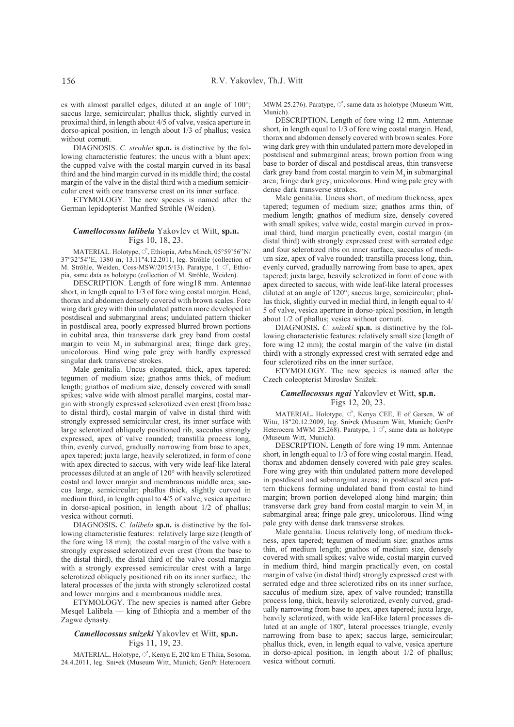es with almost parallel edges, diluted at an angle of 100°; saccus large, semicircular; phallus thick, slightly curved in proximal third, in length about 4/5 of valve, vesica aperture in dorso-apical position, in length about 1/3 of phallus; vesica without cornuti.

DIAGNOSIS. *C. strohlei* **sp.n.** is distinctive by the following characteristic features: the uncus with a blunt apex; the cupped valve with the costal margin curved in its basal third and the hind margin curved in its middle third; the costal margin of the valve in the distal third with a medium semicircular crest with one transverse crest on its inner surface.

ETYMOLOGY. The new species is named after the German lepidopterist Manfred Ströhle (Weiden).

# *Camellocossus lalibela* Yakovlev et Witt, **sp.n.** Figs 10, 18, 23.

MATERIAL. Holotype,  $\vec{C}$ , Ethiopia, Arba Minch, 05°59'56''N/ 37°32'54''E, 1380 m, 13.11"4.12.2011, leg. Ströhle (collection of M. Ströhle, Weiden, Coss-MSW/2015/13). Paratype,  $1 \circ$ <sup>7</sup>, Ethiopia, same data as holotype (collection of M. Ströhle, Weiden).

DESCRIPTION. Length of fore wing18 mm. Antennae short, in length equal to 1/3 of fore wing costal margin. Head, thorax and abdomen densely covered with brown scales. Fore wing dark grey with thin undulated pattern more developed in postdiscal and submarginal areas; undulated pattern thicker in postdiscal area, poorly expressed blurred brown portions in cubital area, thin transverse dark grey band from costal margin to vein  $M<sub>3</sub>$  in submarginal area; fringe dark grey, unicolorous. Hind wing pale grey with hardly expressed singular dark transverse strokes.

Male genitalia. Uncus elongated, thick, apex tapered; tegumen of medium size; gnathos arms thick, of medium length; gnathos of medium size, densely covered with small spikes; valve wide with almost parallel margins, costal margin with strongly expressed sclerotized even crest (from base to distal third), costal margin of valve in distal third with strongly expressed semicircular crest, its inner surface with large sclerotized obliquely positioned rib, sacculus strongly expressed, apex of valve rounded; transtilla process long, thin, evenly curved, gradually narrowing from base to apex, apex tapered; juxta large, heavily sclerotized, in form of cone with apex directed to saccus, with very wide leaf-like lateral processes diluted at an angle of 120° with heavily sclerotized costal and lower margin and membranous middle area; saccus large, semicircular; phallus thick, slightly curved in medium third, in length equal to 4/5 of valve, vesica aperture in dorso-apical position, in length about 1/2 of phallus; vesica without cornuti.

DIAGNOSIS**.** *C. lalibela* **sp.n.** is distinctive by the following characteristic features: relatively large size (length of the fore wing 18 mm); the costal margin of the valve with a strongly expressed sclerotized even crest (from the base to the distal third), the distal third of the valve costal margin with a strongly expressed semicircular crest with a large sclerotized obliquely positioned rib on its inner surface; the lateral processes of the juxta with strongly sclerotized costal and lower margins and a membranous middle area.

ETYMOLOGY. The new species is named after Gebre Mesqel Lalibela — king of Ethiopia and a member of the Zagwe dynasty.

#### *Camellocossus snizeki* Yakovlev et Witt, **sp.n.** Figs 11, 19, 23.

MATERIAL. Holotype,  $\circlearrowleft$ , Kenya E, 202 km E Thika, Sosoma, 24.4.2011, leg. Sni•ek (Museum Witt, Munich; GenPr Heterocera MWM 25.276). Paratype,  $\circlearrowleft$ , same data as holotype (Museum Witt, Munich).

DESCRIPTION**.** Length of fore wing 12 mm. Antennae short, in length equal to 1/3 of fore wing costal margin. Head, thorax and abdomen densely covered with brown scales. Fore wing dark grey with thin undulated pattern more developed in postdiscal and submarginal areas; brown portion from wing base to border of discal and postdiscal areas, thin transverse dark grey band from costal margin to vein  $M<sub>3</sub>$  in submarginal area; fringe dark grey, unicolorous. Hind wing pale grey with dense dark transverse strokes.

Male genitalia. Uncus short, of medium thickness, apex tapered; tegumen of medium size; gnathos arms thin, of medium length; gnathos of medium size, densely covered with small spikes; valve wide, costal margin curved in proximal third, hind margin practically even, costal margin (in distal third) with strongly expressed crest with serrated edge and four sclerotized ribs on inner surface, sacculus of medium size, apex of valve rounded; transtilla process long, thin, evenly curved, gradually narrowing from base to apex, apex tapered; juxta large, heavily sclerotized in form of cone with apex directed to saccus, with wide leaf-like lateral processes diluted at an angle of 120°; saccus large, semicircular; phallus thick, slightly curved in medial third, in length equal to 4/ 5 of valve, vesica aperture in dorso-apical position, in length about 1/2 of phallus; vesica without cornuti.

DIAGNOSIS**.** *C. snizeki* **sp.n.** is distinctive by the following characteristic features: relatively small size (length of fore wing 12 mm); the costal margin of the valve (in distal third) with a strongly expressed crest with serrated edge and four sclerotized ribs on the inner surface.

ETYMOLOGY. The new species is named after the Czech coleopterist Miroslav Snižek.

### *Camellocossus ngai* Yakovlev et Witt, **sp.n.** Figs 12, 20, 23.

MATERIAL. Holotype,  $\circlearrowleft$ , Kenya CEE, E of Garsen, W of Witu, 18"20.12.2009, leg. Sni•ek (Museum Witt, Munich; GenPr Heterocera MWM 25.268). Paratype,  $1 \circ$ <sup>7</sup>, same data as holotype (Museum Witt, Munich).

DESCRIPTION**.** Length of fore wing 19 mm. Antennae short, in length equal to 1/3 of fore wing costal margin. Head, thorax and abdomen densely covered with pale grey scales. Fore wing grey with thin undulated pattern more developed in postdiscal and submarginal areas; in postdiscal area pattern thickens forming undulated band from costal to hind margin; brown portion developed along hind margin; thin transverse dark grey band from costal margin to vein M, in submarginal area; fringe pale grey, unicolorous. Hind wing pale grey with dense dark transverse strokes.

Male genitalia. Uncus relatively long, of medium thickness, apex tapered; tegumen of medium size; gnathos arms thin, of medium length; gnathos of medium size, densely covered with small spikes; valve wide, costal margin curved in medium third, hind margin practically even, on costal margin of valve (in distal third) strongly expressed crest with serrated edge and three sclerotized ribs on its inner surface, sacculus of medium size, apex of valve rounded; transtilla process long, thick, heavily sclerotized, evenly curved, gradually narrowing from base to apex, apex tapered; juxta large, heavily sclerotized, with wide leaf-like lateral processes diluted at an angle of 180º, lateral processes triangle, evenly narrowing from base to apex; saccus large, semicircular; phallus thick, even, in length equal to valve, vesica aperture in dorso-apical position, in length about 1/2 of phallus; vesica without cornuti.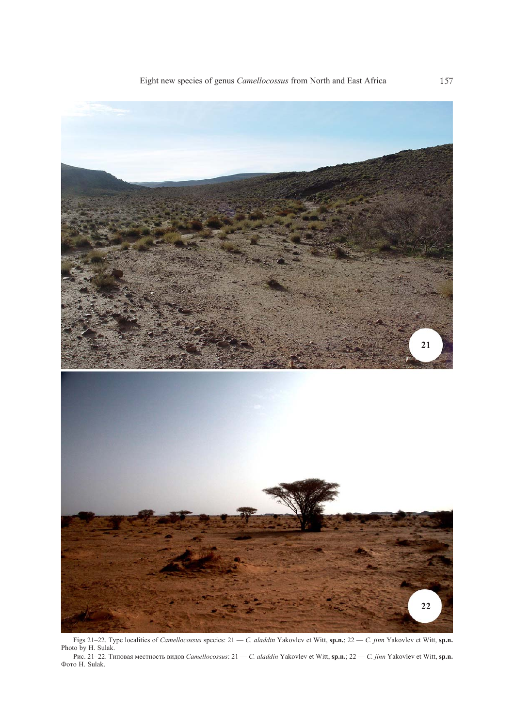

Figs 21–22. Type localities of *Camellocossus* species: 21 — *C. aladdin* Yakovlev et Witt, **sp.n.**; 22 — *C. jinn* Yakovlev et Witt, **sp.n.** Photo by H. Sulak.

Рис. 21–22. Типовая местность видов *Camellocossus*: 21 — *C. aladdin* Yakovlev et Witt, **sp.n.**; 22 — *C. jinn* Yakovlev et Witt, **sp.n.** Фото H. Sulak.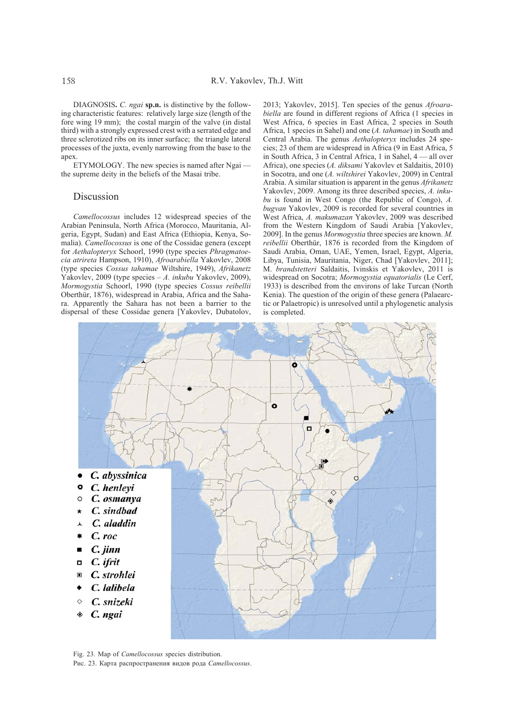DIAGNOSIS**.** *C. ngai* **sp.n.** is distinctive by the following characteristic features: relatively large size (length of the fore wing 19 mm); the costal margin of the valve (in distal third) with a strongly expressed crest with a serrated edge and three sclerotized ribs on its inner surface; the triangle lateral processes of the juxta, evenly narrowing from the base to the apex.

ETYMOLOGY. The new species is named after Ngai the supreme deity in the beliefs of the Masai tribe.

# **Discussion**

*Camellocossus* includes 12 widespread species of the Arabian Peninsula, North Africa (Morocco, Mauritania, Algeria, Egypt, Sudan) and East Africa (Ethiopia, Kenya, Somalia). *Camellocossus* is one of the Cossidae genera (except for *Aethalopteryx* Schoorl, 1990 (type species *Phragmatoecia atrireta* Hampson, 1910), *Afroarabiella* Yakovlev, 2008 (type species *Cossus tahamae* Wiltshire, 1949), *Afrikanetz* Yakovlev, 2009 (type species – *A. inkubu* Yakovlev, 2009), *Mormogystia* Schoorl, 1990 (type species *Cossus reibellii* Oberthür, 1876), widespread in Arabia, Africa and the Sahara. Apparently the Sahara has not been a barrier to the dispersal of these Cossidae genera [Yakovlev, Dubatolov, 2013; Yakovlev, 2015]. Ten species of the genus *Afroarabiella* are found in different regions of Africa (1 species in West Africa, 6 species in East Africa, 2 species in South Africa, 1 species in Sahel) and one (*A. tahamae*) in South and Central Arabia. The genus *Aethalopteryx* includes 24 species; 23 of them are widespread in Africa (9 in East Africa, 5 in South Africa, 3 in Central Africa, 1 in Sahel, 4 — all over Africa), one species (*A. diksami* Yakovlev et Saldaitis, 2010) in Socotra, and one (*A. wiltshirei* Yakovlev, 2009) in Central Arabia. A similar situation is apparent in the genus *Afrikanetz* Yakovlev, 2009. Among its three described species, *A. inkubu* is found in West Congo (the Republic of Congo), *A. bugvan* Yakovlev, 2009 is recorded for several countries in West Africa, *A. makumazan* Yakovlev, 2009 was described from the Western Kingdom of Saudi Arabia [Yakovlev, 2009]. In the genus *Mormogystia* three species are known. *M. reibellii* Oberthür, 1876 is recorded from the Kingdom of Saudi Arabia, Oman, UAE, Yemen, Israel, Egypt, Algeria, Libya, Tunisia, Mauritania, Niger, Chad [Yakovlev, 2011]; M. *brandstetteri* Saldaitis, Ivinskis et Yakovlev, 2011 is widespread on Socotra; *Mormogystia equatorialis* (Le Cerf, 1933) is described from the environs of lake Turcan (North Kenia). The question of the origin of these genera (Palaearctic or Palaetropic) is unresolved until a phylogenetic analysis is completed.



Fig. 23. Map of *Camellocossus* species distribution.

Рис. 23. Карта распространения видов рода *Camellocossus*.